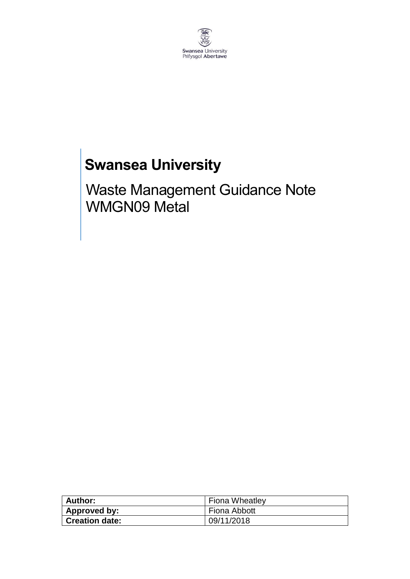

# **Swansea University**

Waste Management Guidance Note WMGN09 Metal

| Author:               | <b>Fiona Wheatley</b> |
|-----------------------|-----------------------|
| <b>Approved by:</b>   | Fiona Abbott          |
| <b>Creation date:</b> | 09/11/2018            |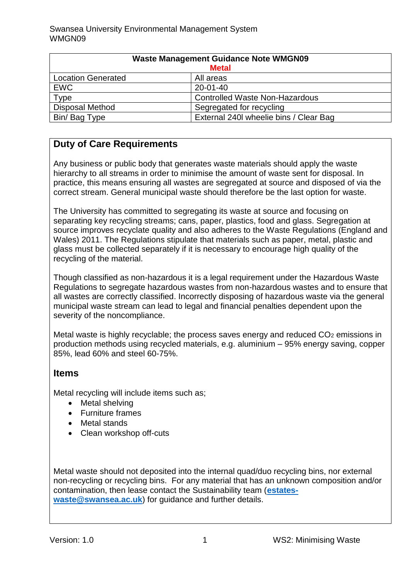| <b>Waste Management Guidance Note WMGN09</b> |                                        |
|----------------------------------------------|----------------------------------------|
| <b>Metal</b>                                 |                                        |
| <b>Location Generated</b>                    | All areas                              |
| <b>EWC</b>                                   | $20 - 01 - 40$                         |
| Type                                         | <b>Controlled Waste Non-Hazardous</b>  |
| <b>Disposal Method</b>                       | Segregated for recycling               |
| Bin/Bag Type                                 | External 240I wheelie bins / Clear Bag |

## **Duty of Care Requirements**

Any business or public body that generates waste materials should apply the waste hierarchy to all streams in order to minimise the amount of waste sent for disposal. In practice, this means ensuring all wastes are segregated at source and disposed of via the correct stream. General municipal waste should therefore be the last option for waste.

The University has committed to segregating its waste at source and focusing on separating key recycling streams; cans, paper, plastics, food and glass. Segregation at source improves recyclate quality and also adheres to the Waste Regulations (England and Wales) 2011. The Regulations stipulate that materials such as paper, metal, plastic and glass must be collected separately if it is necessary to encourage high quality of the recycling of the material.

Though classified as non-hazardous it is a legal requirement under the Hazardous Waste Regulations to segregate hazardous wastes from non-hazardous wastes and to ensure that all wastes are correctly classified. Incorrectly disposing of hazardous waste via the general municipal waste stream can lead to legal and financial penalties dependent upon the severity of the noncompliance.

Metal waste is highly recyclable; the process saves energy and reduced  $CO<sub>2</sub>$  emissions in production methods using recycled materials, e.g. aluminium – 95% energy saving, copper 85%, lead 60% and steel 60-75%.

#### **Items**

Metal recycling will include items such as;

- Metal shelving
- Furniture frames
- Metal stands
- Clean workshop off-cuts

Metal waste should not deposited into the internal quad/duo recycling bins, nor external non-recycling or recycling bins. For any material that has an unknown composition and/or contamination, then lease contact the Sustainability team (**[estates](mailto:estates-waste@swansea.ac.uk)[waste@swansea.ac.uk](mailto:estates-waste@swansea.ac.uk)**) for guidance and further details.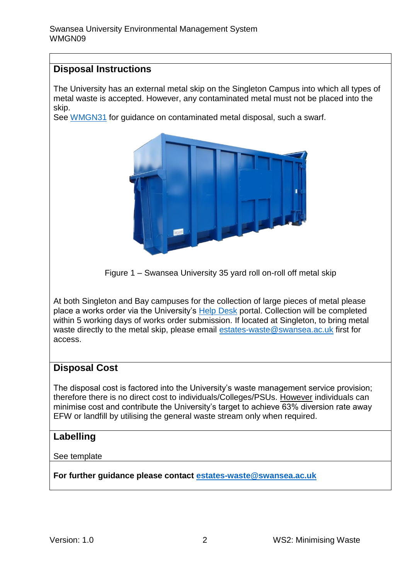#### **Disposal Instructions**

The University has an external metal skip on the Singleton Campus into which all types of metal waste is accepted. However, any contaminated metal must not be placed into the skip.

See [WMGN31](https://staff.swansea.ac.uk/media/wmgn31-oil-contaminated-soild-waste.pdf) for guidance on contaminated metal disposal, such a swarf.



Figure 1 – Swansea University 35 yard roll on-roll off metal skip

At both Singleton and Bay campuses for the collection of large pieces of metal please place a works order via the University's [Help Desk](https://quemis.swan.ac.uk/Q2_Live/login) portal. Collection will be completed within 5 working days of works order submission. If located at Singleton, to bring metal waste directly to the metal skip, please email [estates-waste@swansea.ac.uk](mailto:estates-waste@swansea.ac.uk) first for access.

#### **Disposal Cost**

The disposal cost is factored into the University's waste management service provision; therefore there is no direct cost to individuals/Colleges/PSUs. However individuals can minimise cost and contribute the University's target to achieve 63% diversion rate away EFW or landfill by utilising the general waste stream only when required.

### **Labelling**

See template

**For further guidance please contact [estates-waste@swansea.ac.uk](mailto:estates-waste@swansea.ac.uk)**